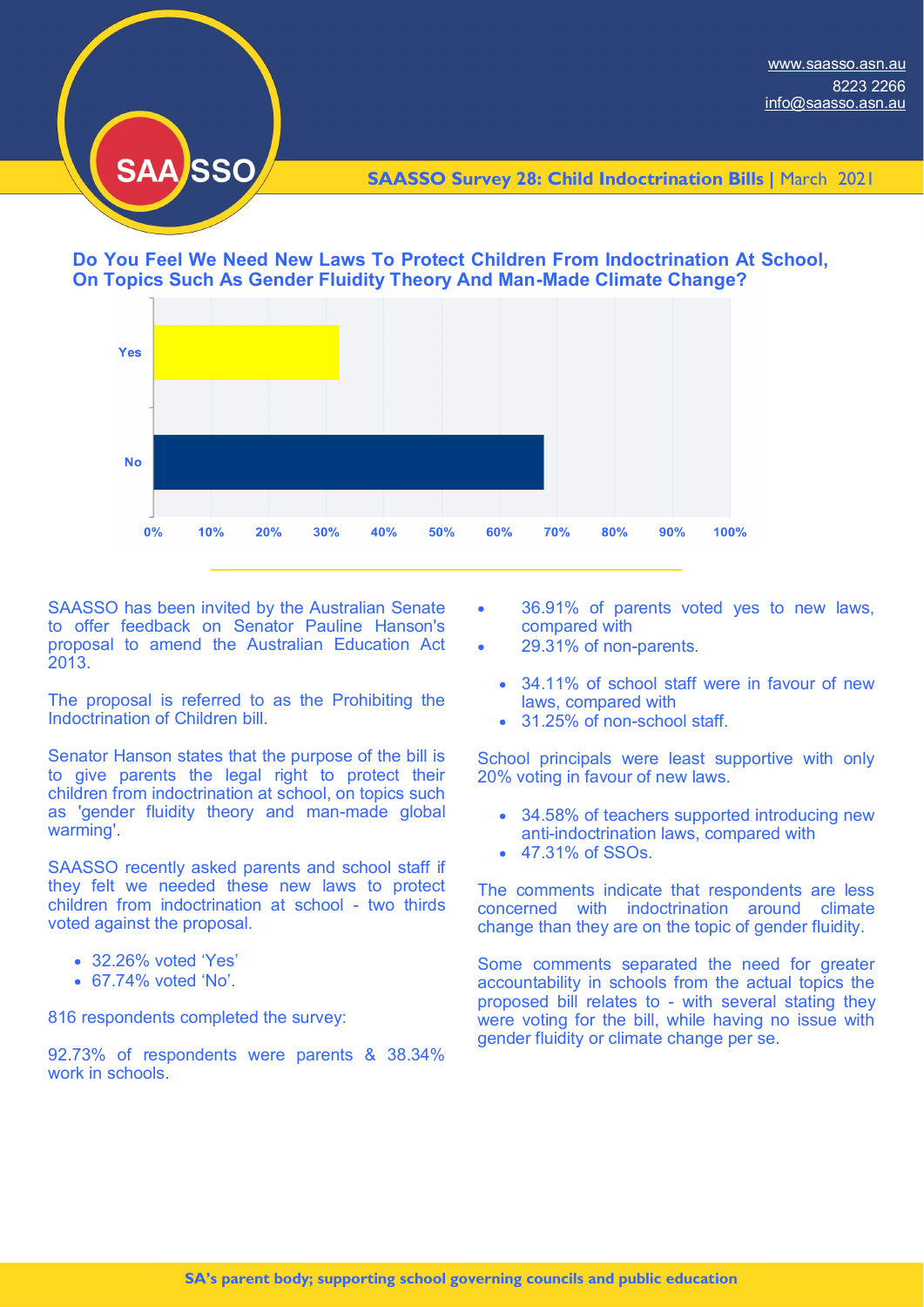

**SAASSO Survey 28: Child Indoctrination Bills |** March 2021





SAASSO has been invited by the Australian Senate to offer feedback on Senator Pauline Hanson's proposal to amend the Australian Education Act 2013.

The proposal is referred to as the Prohibiting the Indoctrination of Children bill.

Senator Hanson states that the purpose of the bill is to give parents the legal right to protect their children from indoctrination at school, on topics such as 'gender fluidity theory and man-made global warming'.

SAASSO recently asked parents and school staff if they felt we needed these new laws to protect children from indoctrination at school - two thirds voted against the proposal.

- 32.26% voted 'Yes'
- 67.74% voted 'No'.

816 respondents completed the survey:

92.73% of respondents were parents & 38.34% work in schools

- 36.91% of parents voted yes to new laws, compared with
- 29.31% of non-parents.
	- 34.11% of school staff were in favour of new laws, compared with
	- 31.25% of non-school staff.

School principals were least supportive with only 20% voting in favour of new laws.

- 34.58% of teachers supported introducing new anti-indoctrination laws, compared with
- 47.31% of SSOs.

The comments indicate that respondents are less concerned with indoctrination around climate change than they are on the topic of gender fluidity.

Some comments separated the need for greater accountability in schools from the actual topics the proposed bill relates to - with several stating they were voting for the bill, while having no issue with gender fluidity or climate change per se.